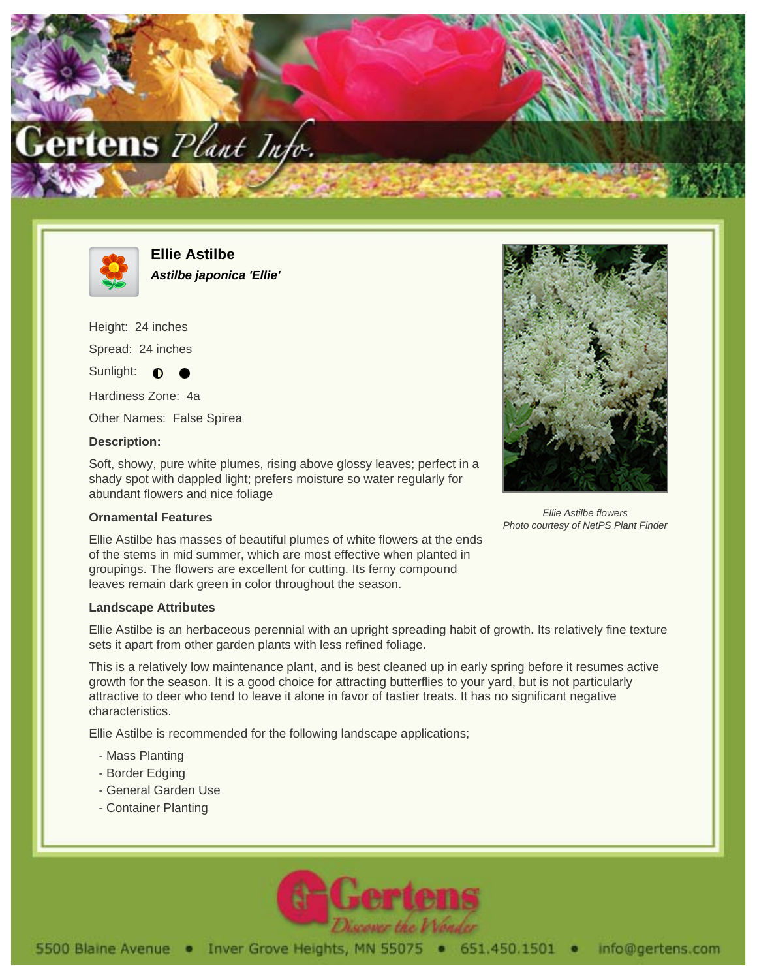



**Ellie Astilbe Astilbe japonica 'Ellie'**

Height: 24 inches

Spread: 24 inches

Sunlight:  $\bullet$ 

Hardiness Zone: 4a

Other Names: False Spirea

## **Description:**

Soft, showy, pure white plumes, rising above glossy leaves; perfect in a shady spot with dappled light; prefers moisture so water regularly for abundant flowers and nice foliage

## **Ornamental Features**

Ellie Astilbe has masses of beautiful plumes of white flowers at the ends of the stems in mid summer, which are most effective when planted in groupings. The flowers are excellent for cutting. Its ferny compound leaves remain dark green in color throughout the season.

## **Landscape Attributes**

Ellie Astilbe is an herbaceous perennial with an upright spreading habit of growth. Its relatively fine texture sets it apart from other garden plants with less refined foliage.

This is a relatively low maintenance plant, and is best cleaned up in early spring before it resumes active growth for the season. It is a good choice for attracting butterflies to your yard, but is not particularly attractive to deer who tend to leave it alone in favor of tastier treats. It has no significant negative characteristics.

Ellie Astilbe is recommended for the following landscape applications;

- Mass Planting
- Border Edging
- General Garden Use
- Container Planting





Ellie Astilbe flowers Photo courtesy of NetPS Plant Finder